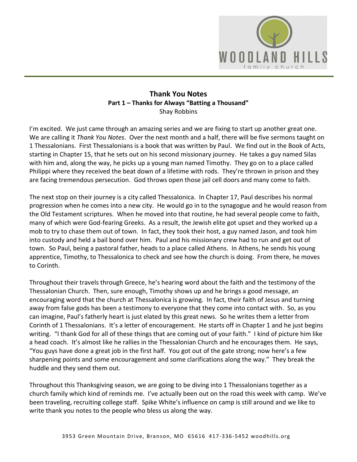

## **Thank You Notes Part 1 – Thanks for Always "Batting a Thousand"** Shay Robbins

I'm excited. We just came through an amazing series and we are fixing to start up another great one. We are calling it *Thank You Notes*. Over the next month and a half, there will be five sermons taught on 1 Thessalonians. First Thessalonians is a book that was written by Paul. We find out in the Book of Acts, starting in Chapter 15, that he sets out on his second missionary journey. He takes a guy named Silas with him and, along the way, he picks up a young man named Timothy. They go on to a place called Philippi where they received the beat down of a lifetime with rods. They're thrown in prison and they are facing tremendous persecution. God throws open those jail cell doors and many come to faith.

The next stop on their journey is a city called Thessalonica. In Chapter 17, Paul describes his normal progression when he comes into a new city. He would go in to the synagogue and he would reason from the Old Testament scriptures. When he moved into that routine, he had several people come to faith, many of which were God-fearing Greeks. As a result, the Jewish elite got upset and they worked up a mob to try to chase them out of town. In fact, they took their host, a guy named Jason, and took him into custody and held a bail bond over him. Paul and his missionary crew had to run and get out of town. So Paul, being a pastoral father, heads to a place called Athens. In Athens, he sends his young apprentice, Timothy, to Thessalonica to check and see how the church is doing. From there, he moves to Corinth.

Throughout their travels through Greece, he's hearing word about the faith and the testimony of the Thessalonian Church. Then, sure enough, Timothy shows up and he brings a good message, an encouraging word that the church at Thessalonica is growing. In fact, their faith of Jesus and turning away from false gods has been a testimony to everyone that they come into contact with. So, as you can imagine, Paul's fatherly heart is just elated by this great news. So he writes them a letter from Corinth of 1 Thessalonians. It's a letter of encouragement. He starts off in Chapter 1 and he just begins writing. "I thank God for all of these things that are coming out of your faith." I kind of picture him like a head coach. It's almost like he rallies in the Thessalonian Church and he encourages them. He says, "You guys have done a great job in the first half. You got out of the gate strong; now here's a few sharpening points and some encouragement and some clarifications along the way." They break the huddle and they send them out.

Throughout this Thanksgiving season, we are going to be diving into 1 Thessalonians together as a church family which kind of reminds me. I've actually been out on the road this week with camp. We've been traveling, recruiting college staff. Spike White's influence on camp is still around and we like to write thank you notes to the people who bless us along the way.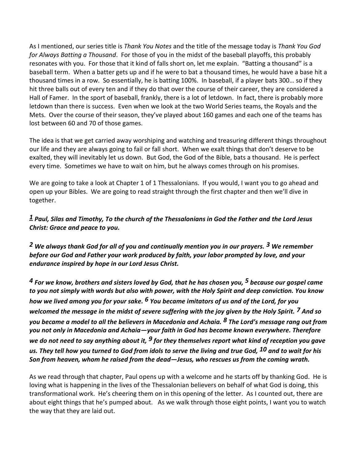As I mentioned, our series title is *Thank You Notes* and the title of the message today is *Thank You God for Always Batting a Thousand*. For those of you in the midst of the baseball playoffs, this probably resonates with you. For those that it kind of falls short on, let me explain. "Batting a thousand" is a baseball term. When a batter gets up and if he were to bat a thousand times, he would have a base hit a thousand times in a row. So essentially, he is batting 100%. In baseball, if a player bats 300… so if they hit three balls out of every ten and if they do that over the course of their career, they are considered a Hall of Famer. In the sport of baseball, frankly, there is a lot of letdown. In fact, there is probably more letdown than there is success. Even when we look at the two World Series teams, the Royals and the Mets. Over the course of their season, they've played about 160 games and each one of the teams has lost between 60 and 70 of those games.

The idea is that we get carried away worshiping and watching and treasuring different things throughout our life and they are always going to fail or fall short. When we exalt things that don't deserve to be exalted, they will inevitably let us down. But God, the God of the Bible, bats a thousand. He is perfect every time. Sometimes we have to wait on him, but he always comes through on his promises.

We are going to take a look at Chapter 1 of 1 Thessalonians. If you would, I want you to go ahead and open up your Bibles. We are going to read straight through the first chapter and then we'll dive in together.

*[1](http://www.studylight.org/desk/?q=1th%201:1&t1=en_niv&sr=1) Paul, Silas and Timothy, To the church of the Thessalonians in God the Father and the Lord Jesus Christ: Grace and peace to you.* 

*[2](http://www.studylight.org/desk/?q=1th%201:2&t1=en_niv&sr=1) We always thank God for all of you and continually mention you in our prayers. [3](http://www.studylight.org/desk/?q=1th%201:3&t1=en_niv&sr=1) We remember before our God and Father your work produced by faith, your labor prompted by love, and your endurance inspired by hope in our Lord Jesus Christ.* 

*[4](http://www.studylight.org/desk/?q=1th%201:4&t1=en_niv&sr=1) For we know, brothers and sisters loved by God, that he has chosen you, [5](http://www.studylight.org/desk/?q=1th%201:5&t1=en_niv&sr=1) because our gospel came to you not simply with words but also with power, with the Holy Spirit and deep conviction. You know how we lived among you for your sake. [6](http://www.studylight.org/desk/?q=1th%201:6&t1=en_niv&sr=1) You became imitators of us and of the Lord, for you welcomed the message in the midst of severe suffering with the joy given by the Holy Spirit. [7](http://www.studylight.org/desk/?q=1th%201:7&t1=en_niv&sr=1) And so you became a model to all the believers in Macedonia and Achaia. [8](http://www.studylight.org/desk/?q=1th%201:8&t1=en_niv&sr=1) The Lord's message rang out from you not only in Macedonia and Achaia—your faith in God has become known everywhere. Therefore we do not need to say anything about it, [9](http://www.studylight.org/desk/?q=1th%201:9&t1=en_niv&sr=1) for they themselves report what kind of reception you gave us. They tell how you turned to God from idols to serve the living and true God, [10](http://www.studylight.org/desk/?q=1th%201:10&t1=en_niv&sr=1) and to wait for his Son from heaven, whom he raised from the dead—Jesus, who rescues us from the coming wrath.*

As we read through that chapter, Paul opens up with a welcome and he starts off by thanking God. He is loving what is happening in the lives of the Thessalonian believers on behalf of what God is doing, this transformational work. He's cheering them on in this opening of the letter. As I counted out, there are about eight things that he's pumped about. As we walk through those eight points, I want you to watch the way that they are laid out.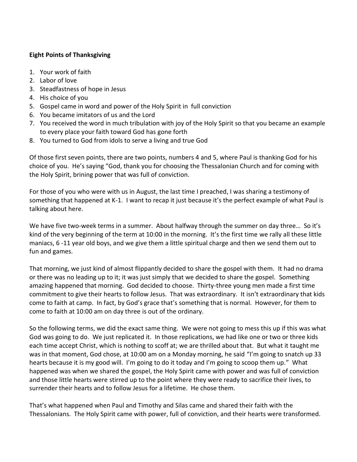## **Eight Points of Thanksgiving**

- 1. Your work of faith
- 2. Labor of love
- 3. Steadfastness of hope in Jesus
- 4. His choice of you
- 5. Gospel came in word and power of the Holy Spirit in full conviction
- 6. You became imitators of us and the Lord
- 7. You received the word in much tribulation with joy of the Holy Spirit so that you became an example to every place your faith toward God has gone forth
- 8. You turned to God from idols to serve a living and true God

Of those first seven points, there are two points, numbers 4 and 5, where Paul is thanking God for his choice of you. He's saying "God, thank you for choosing the Thessalonian Church and for coming with the Holy Spirit, brining power that was full of conviction.

For those of you who were with us in August, the last time I preached, I was sharing a testimony of something that happened at K-1. I want to recap it just because it's the perfect example of what Paul is talking about here.

We have five two-week terms in a summer. About halfway through the summer on day three... So it's kind of the very beginning of the term at 10:00 in the morning. It's the first time we rally all these little maniacs, 6 -11 year old boys, and we give them a little spiritual charge and then we send them out to fun and games.

That morning, we just kind of almost flippantly decided to share the gospel with them. It had no drama or there was no leading up to it; it was just simply that we decided to share the gospel. Something amazing happened that morning. God decided to choose. Thirty-three young men made a first time commitment to give their hearts to follow Jesus. That was extraordinary. It isn't extraordinary that kids come to faith at camp. In fact, by God's grace that's something that is normal. However, for them to come to faith at 10:00 am on day three is out of the ordinary.

So the following terms, we did the exact same thing. We were not going to mess this up if this was what God was going to do. We just replicated it. In those replications, we had like one or two or three kids each time accept Christ, which is nothing to scoff at; we are thrilled about that. But what it taught me was in that moment, God chose, at 10:00 am on a Monday morning, he said "I'm going to snatch up 33 hearts because it is my good will. I'm going to do it today and I'm going to scoop them up." What happened was when we shared the gospel, the Holy Spirit came with power and was full of conviction and those little hearts were stirred up to the point where they were ready to sacrifice their lives, to surrender their hearts and to follow Jesus for a lifetime. He chose them.

That's what happened when Paul and Timothy and Silas came and shared their faith with the Thessalonians. The Holy Spirit came with power, full of conviction, and their hearts were transformed.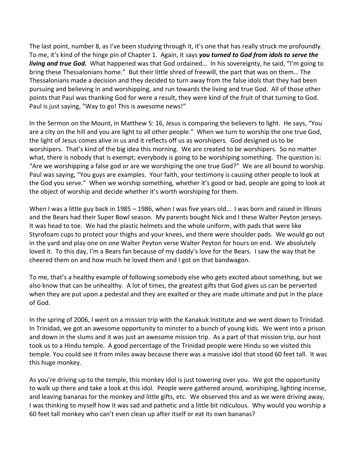The last point, number 8, as I've been studying through it, it's one that has really struck me profoundly. To me, it's kind of the hinge pin of Chapter 1. Again, it says *you turned to God from idols to serve the living and true God.* What happened was that God ordained… In his sovereignty, he said, "I'm going to bring these Thessalonians home." But their little shred of freewill, the part that was on them… The Thessalonians made a decision and they decided to turn away from the false idols that they had been pursuing and believing in and worshipping, and run towards the living and true God. All of those other points that Paul was thanking God for were a result, they were kind of the fruit of that turning to God. Paul is just saying, "Way to go! This is awesome news!"

In the Sermon on the Mount, in Matthew 5: 16, Jesus is comparing the believers to light. He says, "You are a city on the hill and you are light to all other people." When we turn to worship the one true God, the light of Jesus comes alive in us and it reflects off us as worshipers. God designed us to be worshipers. That's kind of the big idea this morning. We are created to be worshipers. So no matter what, there is nobody that is exempt; everybody is going to be worshiping something. The question is: "Are we worshipping a false god or are we worshiping the one true God?" We are all bound to worship. Paul was saying, "You guys are examples. Your faith, your testimony is causing other people to look at the God you serve." When we worship something, whether it's good or bad, people are going to look at the object of worship and decide whether it's worth worshiping for them.

When I was a little guy back in 1985 – 1986, when I was five years old... I was born and raised in Illinois and the Bears had their Super Bowl season. My parents bought Nick and I these Walter Peyton jerseys. It was head to toe. We had the plastic helmets and the whole uniform, with pads that were like Styrofoam cups to protect your thighs and your knees, and there were shoulder pads. We would go out in the yard and play one on one Walter Peyton verse Walter Peyton for hours on end. We absolutely loved it. To this day, I'm a Bears fan because of my daddy's love for the Bears. I saw the way that he cheered them on and how much he loved them and I got on that bandwagon.

To me, that's a healthy example of following somebody else who gets excited about something, but we also know that can be unhealthy. A lot of times, the greatest gifts that God gives us can be perverted when they are put upon a pedestal and they are exalted or they are made ultimate and put in the place of God.

In the spring of 2006, I went on a mission trip with the Kanakuk Institute and we went down to Trinidad. In Trinidad, we got an awesome opportunity to minster to a bunch of young kids. We went into a prison and down in the slums and it was just an awesome mission trip. As a part of that mission trip, our host took us to a Hindu temple. A good percentage of the Trinidad people were Hindu so we visited this temple. You could see it from miles away because there was a massive idol that stood 60 feet tall. It was this huge monkey.

As you're driving up to the temple, this monkey idol is just towering over you. We got the opportunity to walk up there and take a look at this idol. People were gathered around, worshiping, lighting incense, and leaving bananas for the monkey and little gifts, etc. We observed this and as we were driving away, I was thinking to myself how it was sad and pathetic and a little bit ridiculous. Why would you worship a 60 feet tall monkey who can't even clean up after itself or eat its own bananas?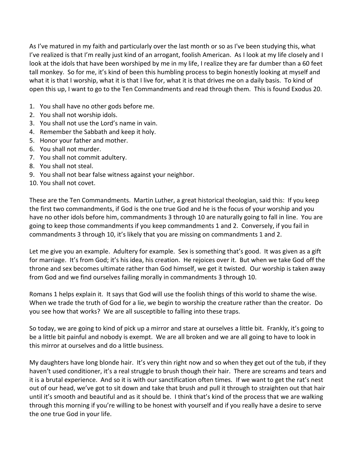As I've matured in my faith and particularly over the last month or so as I've been studying this, what I've realized is that I'm really just kind of an arrogant, foolish American. As I look at my life closely and I look at the idols that have been worshiped by me in my life, I realize they are far dumber than a 60 feet tall monkey. So for me, it's kind of been this humbling process to begin honestly looking at myself and what it is that I worship, what it is that I live for, what it is that drives me on a daily basis. To kind of open this up, I want to go to the Ten Commandments and read through them. This is found Exodus 20.

- 1. You shall have no other gods before me.
- 2. You shall not worship idols.
- 3. You shall not use the Lord's name in vain.
- 4. Remember the Sabbath and keep it holy.
- 5. Honor your father and mother.
- 6. You shall not murder.
- 7. You shall not commit adultery.
- 8. You shall not steal.
- 9. You shall not bear false witness against your neighbor.
- 10. You shall not covet.

These are the Ten Commandments. Martin Luther, a great historical theologian, said this: If you keep the first two commandments, if God is the one true God and he is the focus of your worship and you have no other idols before him, commandments 3 through 10 are naturally going to fall in line. You are going to keep those commandments if you keep commandments 1 and 2. Conversely, if you fail in commandments 3 through 10, it's likely that you are missing on commandments 1 and 2.

Let me give you an example. Adultery for example. Sex is something that's good. It was given as a gift for marriage. It's from God; it's his idea, his creation. He rejoices over it. But when we take God off the throne and sex becomes ultimate rather than God himself, we get it twisted. Our worship is taken away from God and we find ourselves failing morally in commandments 3 through 10.

Romans 1 helps explain it. It says that God will use the foolish things of this world to shame the wise. When we trade the truth of God for a lie, we begin to worship the creature rather than the creator. Do you see how that works? We are all susceptible to falling into these traps.

So today, we are going to kind of pick up a mirror and stare at ourselves a little bit. Frankly, it's going to be a little bit painful and nobody is exempt. We are all broken and we are all going to have to look in this mirror at ourselves and do a little business.

My daughters have long blonde hair. It's very thin right now and so when they get out of the tub, if they haven't used conditioner, it's a real struggle to brush though their hair. There are screams and tears and it is a brutal experience. And so it is with our sanctification often times. If we want to get the rat's nest out of our head, we've got to sit down and take that brush and pull it through to straighten out that hair until it's smooth and beautiful and as it should be. I think that's kind of the process that we are walking through this morning if you're willing to be honest with yourself and if you really have a desire to serve the one true God in your life.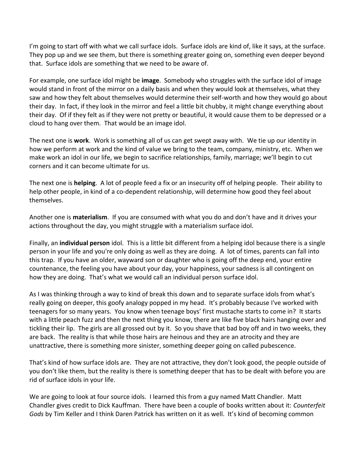I'm going to start off with what we call surface idols. Surface idols are kind of, like it says, at the surface. They pop up and we see them, but there is something greater going on, something even deeper beyond that. Surface idols are something that we need to be aware of.

For example, one surface idol might be **image**. Somebody who struggles with the surface idol of image would stand in front of the mirror on a daily basis and when they would look at themselves, what they saw and how they felt about themselves would determine their self-worth and how they would go about their day. In fact, if they look in the mirror and feel a little bit chubby, it might change everything about their day. Of if they felt as if they were not pretty or beautiful, it would cause them to be depressed or a cloud to hang over them. That would be an image idol.

The next one is **work**. Work is something all of us can get swept away with. We tie up our identity in how we perform at work and the kind of value we bring to the team, company, ministry, etc. When we make work an idol in our life, we begin to sacrifice relationships, family, marriage; we'll begin to cut corners and it can become ultimate for us.

The next one is **helping**. A lot of people feed a fix or an insecurity off of helping people. Their ability to help other people, in kind of a co-dependent relationship, will determine how good they feel about themselves.

Another one is **materialism**. If you are consumed with what you do and don't have and it drives your actions throughout the day, you might struggle with a materialism surface idol.

Finally, an **individual person** idol. This is a little bit different from a helping idol because there is a single person in your life and you're only doing as well as they are doing. A lot of times, parents can fall into this trap. If you have an older, wayward son or daughter who is going off the deep end, your entire countenance, the feeling you have about your day, your happiness, your sadness is all contingent on how they are doing. That's what we would call an individual person surface idol.

As I was thinking through a way to kind of break this down and to separate surface idols from what's really going on deeper, this goofy analogy popped in my head. It's probably because I've worked with teenagers for so many years. You know when teenage boys' first mustache starts to come in? It starts with a little peach fuzz and then the next thing you know, there are like five black hairs hanging over and tickling their lip. The girls are all grossed out by it. So you shave that bad boy off and in two weeks, they are back. The reality is that while those hairs are heinous and they are an atrocity and they are unattractive, there is something more sinister, something deeper going on called pubescence.

That's kind of how surface idols are. They are not attractive, they don't look good, the people outside of you don't like them, but the reality is there is something deeper that has to be dealt with before you are rid of surface idols in your life.

We are going to look at four source idols. I learned this from a guy named Matt Chandler. Matt Chandler gives credit to Dick Kauffman. There have been a couple of books written about it: *Counterfeit Gods* by Tim Keller and I think Daren Patrick has written on it as well. It's kind of becoming common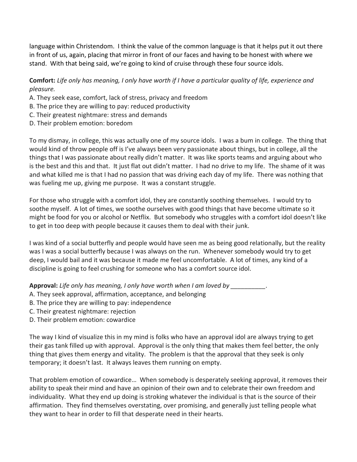language within Christendom. I think the value of the common language is that it helps put it out there in front of us, again, placing that mirror in front of our faces and having to be honest with where we stand. With that being said, we're going to kind of cruise through these four source idols.

**Comfort:** *Life only has meaning, I only have worth if I have a particular quality of life, experience and pleasure.* 

- A. They seek ease, comfort, lack of stress, privacy and freedom
- B. The price they are willing to pay: reduced productivity
- C. Their greatest nightmare: stress and demands
- D. Their problem emotion: boredom

To my dismay, in college, this was actually one of my source idols. I was a bum in college. The thing that would kind of throw people off is I've always been very passionate about things, but in college, all the things that I was passionate about really didn't matter. It was like sports teams and arguing about who is the best and this and that. It just flat out didn't matter. I had no drive to my life. The shame of it was and what killed me is that I had no passion that was driving each day of my life. There was nothing that was fueling me up, giving me purpose. It was a constant struggle.

For those who struggle with a comfort idol, they are constantly soothing themselves. I would try to soothe myself. A lot of times, we soothe ourselves with good things that have become ultimate so it might be food for you or alcohol or Netflix. But somebody who struggles with a comfort idol doesn't like to get in too deep with people because it causes them to deal with their junk.

I was kind of a social butterfly and people would have seen me as being good relationally, but the reality was I was a social butterfly because I was always on the run. Whenever somebody would try to get deep, I would bail and it was because it made me feel uncomfortable. A lot of times, any kind of a discipline is going to feel crushing for someone who has a comfort source idol.

**Approval:** *Life only has meaning, I only have worth when I am loved by \_\_\_\_\_\_\_\_\_\_.* 

- A. They seek approval, affirmation, acceptance, and belonging
- B. The price they are willing to pay: independence
- C. Their greatest nightmare: rejection
- D. Their problem emotion: cowardice

The way I kind of visualize this in my mind is folks who have an approval idol are always trying to get their gas tank filled up with approval. Approval is the only thing that makes them feel better, the only thing that gives them energy and vitality. The problem is that the approval that they seek is only temporary; it doesn't last. It always leaves them running on empty.

That problem emotion of cowardice… When somebody is desperately seeking approval, it removes their ability to speak their mind and have an opinion of their own and to celebrate their own freedom and individuality. What they end up doing is stroking whatever the individual is that is the source of their affirmation. They find themselves overstating, over promising, and generally just telling people what they want to hear in order to fill that desperate need in their hearts.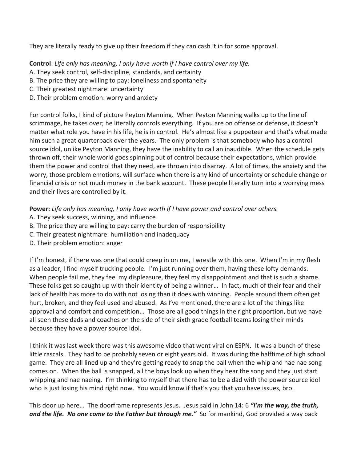They are literally ready to give up their freedom if they can cash it in for some approval.

**Control**: *Life only has meaning, I only have worth if I have control over my life.* 

- A. They seek control, self-discipline, standards, and certainty
- B. The price they are willing to pay: loneliness and spontaneity
- C. Their greatest nightmare: uncertainty
- D. Their problem emotion: worry and anxiety

For control folks, I kind of picture Peyton Manning. When Peyton Manning walks up to the line of scrimmage, he takes over; he literally controls everything. If you are on offense or defense, it doesn't matter what role you have in his life, he is in control. He's almost like a puppeteer and that's what made him such a great quarterback over the years. The only problem is that somebody who has a control source idol, unlike Peyton Manning, they have the inability to call an inaudible. When the schedule gets thrown off, their whole world goes spinning out of control because their expectations, which provide them the power and control that they need, are thrown into disarray. A lot of times, the anxiety and the worry, those problem emotions, will surface when there is any kind of uncertainty or schedule change or financial crisis or not much money in the bank account. These people literally turn into a worrying mess and their lives are controlled by it.

**Power:** *Life only has meaning, I only have worth if I have power and control over others.* 

- A. They seek success, winning, and influence
- B. The price they are willing to pay: carry the burden of responsibility
- C. Their greatest nightmare: humiliation and inadequacy
- D. Their problem emotion: anger

If I'm honest, if there was one that could creep in on me, I wrestle with this one. When I'm in my flesh as a leader, I find myself trucking people. I'm just running over them, having these lofty demands. When people fail me, they feel my displeasure, they feel my disappointment and that is such a shame. These folks get so caught up with their identity of being a winner… In fact, much of their fear and their lack of health has more to do with not losing than it does with winning. People around them often get hurt, broken, and they feel used and abused. As I've mentioned, there are a lot of the things like approval and comfort and competition… Those are all good things in the right proportion, but we have all seen these dads and coaches on the side of their sixth grade football teams losing their minds because they have a power source idol.

I think it was last week there was this awesome video that went viral on ESPN. It was a bunch of these little rascals. They had to be probably seven or eight years old. It was during the halftime of high school game. They are all lined up and they're getting ready to snap the ball when the whip and nae nae song comes on. When the ball is snapped, all the boys look up when they hear the song and they just start whipping and nae naeing. I'm thinking to myself that there has to be a dad with the power source idol who is just losing his mind right now. You would know if that's you that you have issues, bro.

This door up here… The doorframe represents Jesus. Jesus said in John 14: 6 *"I'm the way, the truth,*  and the life. No one come to the Father but through me." So for mankind, God provided a way back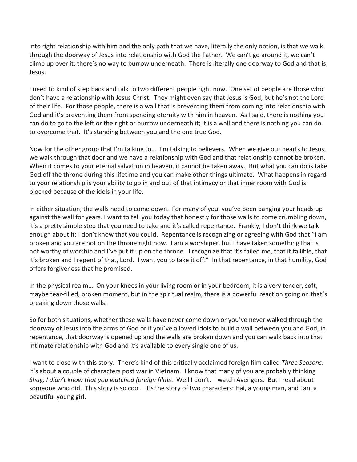into right relationship with him and the only path that we have, literally the only option, is that we walk through the doorway of Jesus into relationship with God the Father. We can't go around it, we can't climb up over it; there's no way to burrow underneath. There is literally one doorway to God and that is Jesus.

I need to kind of step back and talk to two different people right now. One set of people are those who don't have a relationship with Jesus Christ. They might even say that Jesus is God, but he's not the Lord of their life. For those people, there is a wall that is preventing them from coming into relationship with God and it's preventing them from spending eternity with him in heaven. As I said, there is nothing you can do to go to the left or the right or burrow underneath it; it is a wall and there is nothing you can do to overcome that. It's standing between you and the one true God.

Now for the other group that I'm talking to… I'm talking to believers. When we give our hearts to Jesus, we walk through that door and we have a relationship with God and that relationship cannot be broken. When it comes to your eternal salvation in heaven, it cannot be taken away. But what you can do is take God off the throne during this lifetime and you can make other things ultimate. What happens in regard to your relationship is your ability to go in and out of that intimacy or that inner room with God is blocked because of the idols in your life.

In either situation, the walls need to come down. For many of you, you've been banging your heads up against the wall for years. I want to tell you today that honestly for those walls to come crumbling down, it's a pretty simple step that you need to take and it's called repentance. Frankly, I don't think we talk enough about it; I don't know that you could. Repentance is recognizing or agreeing with God that "I am broken and you are not on the throne right now. I am a worshiper, but I have taken something that is not worthy of worship and I've put it up on the throne. I recognize that it's failed me, that it fallible, that it's broken and I repent of that, Lord. I want you to take it off." In that repentance, in that humility, God offers forgiveness that he promised.

In the physical realm… On your knees in your living room or in your bedroom, it is a very tender, soft, maybe tear-filled, broken moment, but in the spiritual realm, there is a powerful reaction going on that's breaking down those walls.

So for both situations, whether these walls have never come down or you've never walked through the doorway of Jesus into the arms of God or if you've allowed idols to build a wall between you and God, in repentance, that doorway is opened up and the walls are broken down and you can walk back into that intimate relationship with God and it's available to every single one of us.

I want to close with this story. There's kind of this critically acclaimed foreign film called *Three Seasons*. It's about a couple of characters post war in Vietnam. I know that many of you are probably thinking *Shay, I didn't know that you watched foreign films*. Well I don't. I watch Avengers. But I read about someone who did. This story is so cool. It's the story of two characters: Hai, a young man, and Lan, a beautiful young girl.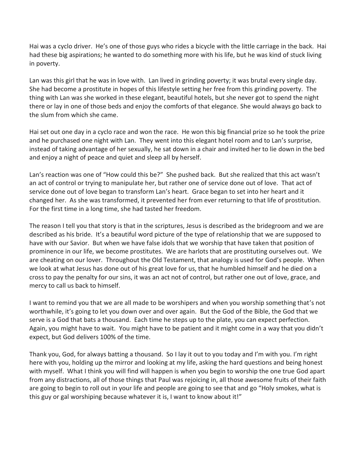Hai was a cyclo driver. He's one of those guys who rides a bicycle with the little carriage in the back. Hai had these big aspirations; he wanted to do something more with his life, but he was kind of stuck living in poverty.

Lan was this girl that he was in love with. Lan lived in grinding poverty; it was brutal every single day. She had become a prostitute in hopes of this lifestyle setting her free from this grinding poverty. The thing with Lan was she worked in these elegant, beautiful hotels, but she never got to spend the night there or lay in one of those beds and enjoy the comforts of that elegance. She would always go back to the slum from which she came.

Hai set out one day in a cyclo race and won the race. He won this big financial prize so he took the prize and he purchased one night with Lan. They went into this elegant hotel room and to Lan's surprise, instead of taking advantage of her sexually, he sat down in a chair and invited her to lie down in the bed and enjoy a night of peace and quiet and sleep all by herself.

Lan's reaction was one of "How could this be?" She pushed back. But she realized that this act wasn't an act of control or trying to manipulate her, but rather one of service done out of love. That act of service done out of love began to transform Lan's heart. Grace began to set into her heart and it changed her. As she was transformed, it prevented her from ever returning to that life of prostitution. For the first time in a long time, she had tasted her freedom.

The reason I tell you that story is that in the scriptures, Jesus is described as the bridegroom and we are described as his bride. It's a beautiful word picture of the type of relationship that we are supposed to have with our Savior. But when we have false idols that we worship that have taken that position of prominence in our life, we become prostitutes. We are harlots that are prostituting ourselves out. We are cheating on our lover. Throughout the Old Testament, that analogy is used for God's people. When we look at what Jesus has done out of his great love for us, that he humbled himself and he died on a cross to pay the penalty for our sins, it was an act not of control, but rather one out of love, grace, and mercy to call us back to himself.

I want to remind you that we are all made to be worshipers and when you worship something that's not worthwhile, it's going to let you down over and over again. But the God of the Bible, the God that we serve is a God that bats a thousand. Each time he steps up to the plate, you can expect perfection. Again, you might have to wait. You might have to be patient and it might come in a way that you didn't expect, but God delivers 100% of the time.

Thank you, God, for always batting a thousand. So I lay it out to you today and I'm with you. I'm right here with you, holding up the mirror and looking at my life, asking the hard questions and being honest with myself. What I think you will find will happen is when you begin to worship the one true God apart from any distractions, all of those things that Paul was rejoicing in, all those awesome fruits of their faith are going to begin to roll out in your life and people are going to see that and go "Holy smokes, what is this guy or gal worshiping because whatever it is, I want to know about it!"